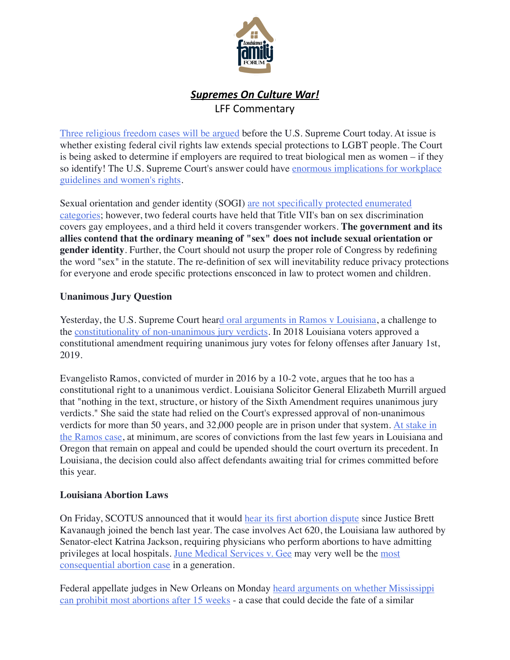

## **Supremes On Culture War!** LFF Commentary

[Three religious freedom cases will be argued](https://www.scotusblog.com/2019/10/argument-preview-justices-to-consider-federal-employment-protection-for-lgbt-employees/) before the U.S. Supreme Court today. At issue is whether existing federal civil rights law extends special protections to LGBT people. The Court is being asked to determine if employers are required to treat biological men as women – if they so identify! The U.S. Supreme Court's answer could have [enormous implications for workplace](https://nypost.com/2019/10/06/will-the-supreme-court-stand-up-for-reality/)  [guidelines and women's rights](https://nypost.com/2019/10/06/will-the-supreme-court-stand-up-for-reality/).

Sexual orientation and gender identity (SOGI) [are not specifically protected enumerated](https://www.dailysignal.com/2019/10/07/what-you-need-to-know-about-the-transgender-case-at-the-supreme-court/?utm_source=rss)  [categories;](https://www.dailysignal.com/2019/10/07/what-you-need-to-know-about-the-transgender-case-at-the-supreme-court/?utm_source=rss) however, two federal courts have held that Title VII's ban on sex discrimination covers gay employees, and a third held it covers transgender workers. **The government and its allies contend that the ordinary meaning of "sex" does not include sexual orientation or gender identity**. Further, the Court should not usurp the proper role of Congress by redefining the word "sex" in the statute. The re-definition of sex will inevitability reduce privacy protections for everyone and erode specific protections ensconced in law to protect women and children.

## **Unanimous Jury Question**

Yesterday, the U.S. Supreme Court hea[rd oral arguments in Ramos v Louisiana,](https://www.washingtonpost.com/politics/courts_law/supreme-courts-new-term-opens-with-arguments-over-unanimous-juries-insanity-as-a-criminal-defense/2019/10/07/5209e6d2-e91b-11e9-9306-47cb0324fd44_story.html) a challenge to the [constitutionality of non-unanimous jury verdicts.](http://amylhowe.com/2019/09/30/court-to-consider-whether-right-to-unanimous-jury-verdict-applies-to-state-criminal-trials/) In 2018 Louisiana voters approved a constitutional amendment requiring unanimous jury votes for felony offenses after January 1st, 2019.

Evangelisto Ramos, convicted of murder in 2016 by a 10-2 vote, argues that he too has a constitutional right to a unanimous verdict. Louisiana Solicitor General Elizabeth Murrill argued that "nothing in the text, structure, or history of the Sixth Amendment requires unanimous jury verdicts." She said the state had relied on the Court's expressed approval of non-unanimous verdicts for more than 50 years, and 32,000 people are in prison under that system. [At stake in](https://www.nola.com/news/courts/article_bb23f192-e909-11e9-ad82-c38b83cf04b4.html)  [the Ramos case,](https://www.nola.com/news/courts/article_bb23f192-e909-11e9-ad82-c38b83cf04b4.html) at minimum, are scores of convictions from the last few years in Louisiana and Oregon that remain on appeal and could be upended should the court overturn its precedent. In Louisiana, the decision could also affect defendants awaiting trial for crimes committed before this year.

## **Louisiana Abortion Laws**

On Friday, SCOTUS announced that it would [hear its first abortion dispute](https://dailycaller.com/2019/10/04/louisiana-supreme-court-abortion/%22%20%5Ct%20%22_blank) since Justice Brett Kavanaugh joined the bench last year. The case involves Act 620, the Louisiana law authored by Senator-elect Katrina Jackson, requiring physicians who perform abortions to have admitting privileges at local hospitals. [June Medical Services v. Gee](https://www.scotusblog.com/case-files/cases/june-medical-services-llc-v-gee-3/) may very well be the [most](https://www.nationalreview.com/2019/10/supreme-court-case-louisiana-abortion-regulation/)  [consequential abortion case](https://www.nationalreview.com/2019/10/supreme-court-case-louisiana-abortion-regulation/) in a generation.

Federal appellate judges in New Orleans on Monday [heard arguments on whether Mississippi](https://www.nola.com/news/courts/article_e11f10da-e935-11e9-abd4-a771c173bb09.html)  [can prohibit most abortions after 15 weeks](https://www.nola.com/news/courts/article_e11f10da-e935-11e9-abd4-a771c173bb09.html) - a case that could decide the fate of a similar